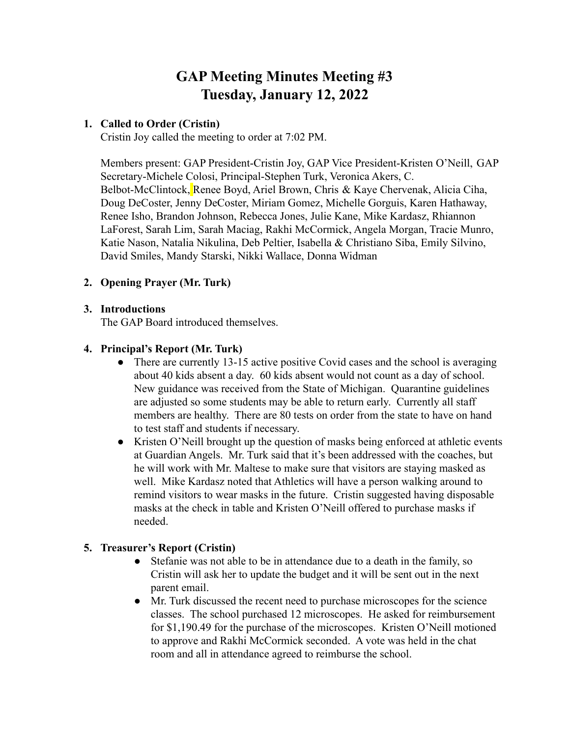# **GAP Meeting Minutes Meeting #3 Tuesday, January 12, 2022**

## **1. Called to Order (Cristin)**

Cristin Joy called the meeting to order at 7:02 PM.

Members present: GAP President-Cristin Joy, GAP Vice President-Kristen O'Neill, GAP Secretary-Michele Colosi, Principal-Stephen Turk, Veronica Akers, C. Belbot-McClintock, Renee Boyd, Ariel Brown, Chris & Kaye Chervenak, Alicia Ciha, Doug DeCoster, Jenny DeCoster, Miriam Gomez, Michelle Gorguis, Karen Hathaway, Renee Isho, Brandon Johnson, Rebecca Jones, Julie Kane, Mike Kardasz, Rhiannon LaForest, Sarah Lim, Sarah Maciag, Rakhi McCormick, Angela Morgan, Tracie Munro, Katie Nason, Natalia Nikulina, Deb Peltier, Isabella & Christiano Siba, Emily Silvino, David Smiles, Mandy Starski, Nikki Wallace, Donna Widman

# **2. Opening Prayer (Mr. Turk)**

### **3. Introductions**

The GAP Board introduced themselves.

#### **4. Principal's Report (Mr. Turk)**

- There are currently 13-15 active positive Covid cases and the school is averaging about 40 kids absent a day. 60 kids absent would not count as a day of school. New guidance was received from the State of Michigan. Quarantine guidelines are adjusted so some students may be able to return early. Currently all staff members are healthy. There are 80 tests on order from the state to have on hand to test staff and students if necessary.
- Kristen O'Neill brought up the question of masks being enforced at athletic events at Guardian Angels. Mr. Turk said that it's been addressed with the coaches, but he will work with Mr. Maltese to make sure that visitors are staying masked as well. Mike Kardasz noted that Athletics will have a person walking around to remind visitors to wear masks in the future. Cristin suggested having disposable masks at the check in table and Kristen O'Neill offered to purchase masks if needed.

### **5. Treasurer's Report (Cristin)**

- Stefanie was not able to be in attendance due to a death in the family, so Cristin will ask her to update the budget and it will be sent out in the next parent email.
- Mr. Turk discussed the recent need to purchase microscopes for the science classes. The school purchased 12 microscopes. He asked for reimbursement for \$1,190.49 for the purchase of the microscopes. Kristen O'Neill motioned to approve and Rakhi McCormick seconded. A vote was held in the chat room and all in attendance agreed to reimburse the school.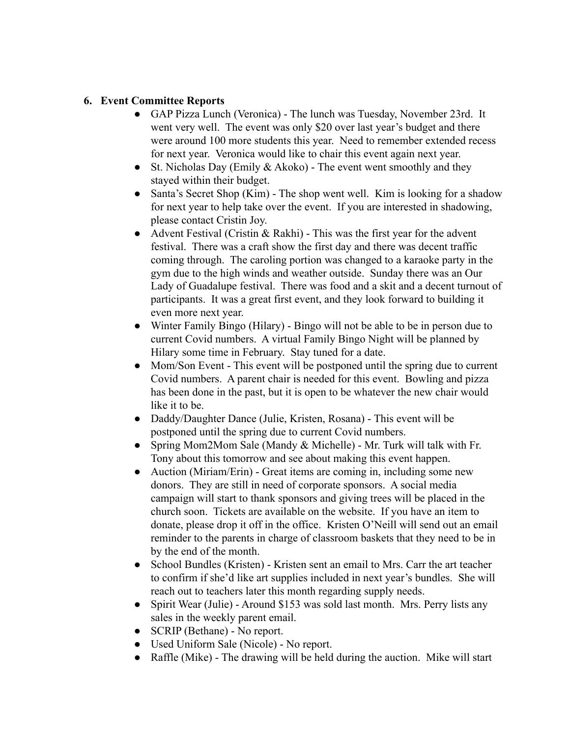#### **6. Event Committee Reports**

- GAP Pizza Lunch (Veronica) The lunch was Tuesday, November 23rd. It went very well. The event was only \$20 over last year's budget and there were around 100 more students this year. Need to remember extended recess for next year. Veronica would like to chair this event again next year.
- St. Nicholas Day (Emily  $& Akoko$ ) The event went smoothly and they stayed within their budget.
- Santa's Secret Shop (Kim) The shop went well. Kim is looking for a shadow for next year to help take over the event. If you are interested in shadowing, please contact Cristin Joy.
- Advent Festival (Cristin & Rakhi) This was the first year for the advent festival. There was a craft show the first day and there was decent traffic coming through. The caroling portion was changed to a karaoke party in the gym due to the high winds and weather outside. Sunday there was an Our Lady of Guadalupe festival. There was food and a skit and a decent turnout of participants. It was a great first event, and they look forward to building it even more next year.
- Winter Family Bingo (Hilary) Bingo will not be able to be in person due to current Covid numbers. A virtual Family Bingo Night will be planned by Hilary some time in February. Stay tuned for a date.
- Mom/Son Event This event will be postponed until the spring due to current Covid numbers. A parent chair is needed for this event. Bowling and pizza has been done in the past, but it is open to be whatever the new chair would like it to be.
- Daddy/Daughter Dance (Julie, Kristen, Rosana) This event will be postponed until the spring due to current Covid numbers.
- Spring Mom2Mom Sale (Mandy & Michelle) Mr. Turk will talk with Fr. Tony about this tomorrow and see about making this event happen.
- Auction (Miriam/Erin) Great items are coming in, including some new donors. They are still in need of corporate sponsors. A social media campaign will start to thank sponsors and giving trees will be placed in the church soon. Tickets are available on the website. If you have an item to donate, please drop it off in the office. Kristen O'Neill will send out an email reminder to the parents in charge of classroom baskets that they need to be in by the end of the month.
- School Bundles (Kristen) Kristen sent an email to Mrs. Carr the art teacher to confirm if she'd like art supplies included in next year's bundles. She will reach out to teachers later this month regarding supply needs.
- Spirit Wear (Julie) Around \$153 was sold last month. Mrs. Perry lists any sales in the weekly parent email.
- SCRIP (Bethane) No report.
- Used Uniform Sale (Nicole) No report.
- Raffle (Mike) The drawing will be held during the auction. Mike will start